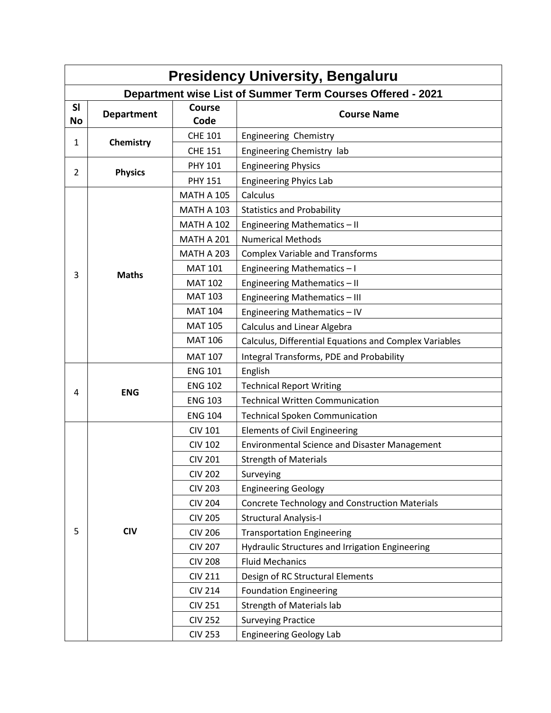| <b>Presidency University, Bengaluru</b>                           |                   |                       |                                                        |  |  |  |  |
|-------------------------------------------------------------------|-------------------|-----------------------|--------------------------------------------------------|--|--|--|--|
| <b>Department wise List of Summer Term Courses Offered - 2021</b> |                   |                       |                                                        |  |  |  |  |
| SI<br><b>No</b>                                                   | <b>Department</b> | <b>Course</b><br>Code | <b>Course Name</b>                                     |  |  |  |  |
| 1                                                                 | Chemistry         | <b>CHE 101</b>        | Engineering Chemistry                                  |  |  |  |  |
|                                                                   |                   | <b>CHE 151</b>        | Engineering Chemistry lab                              |  |  |  |  |
| $\overline{2}$                                                    | <b>Physics</b>    | <b>PHY 101</b>        | <b>Engineering Physics</b>                             |  |  |  |  |
|                                                                   |                   | <b>PHY 151</b>        | <b>Engineering Phyics Lab</b>                          |  |  |  |  |
|                                                                   |                   | <b>MATH A 105</b>     | Calculus                                               |  |  |  |  |
|                                                                   |                   | <b>MATH A 103</b>     | <b>Statistics and Probability</b>                      |  |  |  |  |
|                                                                   |                   | <b>MATH A 102</b>     | Engineering Mathematics - II                           |  |  |  |  |
|                                                                   |                   | <b>MATH A 201</b>     | <b>Numerical Methods</b>                               |  |  |  |  |
|                                                                   |                   | <b>MATH A 203</b>     | <b>Complex Variable and Transforms</b>                 |  |  |  |  |
| 3                                                                 | <b>Maths</b>      | <b>MAT 101</b>        | Engineering Mathematics-I                              |  |  |  |  |
|                                                                   |                   | <b>MAT 102</b>        | Engineering Mathematics - II                           |  |  |  |  |
|                                                                   |                   | <b>MAT 103</b>        | Engineering Mathematics - III                          |  |  |  |  |
|                                                                   |                   | <b>MAT 104</b>        | Engineering Mathematics - IV                           |  |  |  |  |
|                                                                   |                   | <b>MAT 105</b>        | Calculus and Linear Algebra                            |  |  |  |  |
|                                                                   |                   | <b>MAT 106</b>        | Calculus, Differential Equations and Complex Variables |  |  |  |  |
|                                                                   |                   | <b>MAT 107</b>        | Integral Transforms, PDE and Probability               |  |  |  |  |
|                                                                   |                   | <b>ENG 101</b>        | English                                                |  |  |  |  |
| 4                                                                 | <b>ENG</b>        | <b>ENG 102</b>        | <b>Technical Report Writing</b>                        |  |  |  |  |
|                                                                   |                   | <b>ENG 103</b>        | <b>Technical Written Communication</b>                 |  |  |  |  |
|                                                                   |                   | <b>ENG 104</b>        | <b>Technical Spoken Communication</b>                  |  |  |  |  |
|                                                                   |                   | <b>CIV 101</b>        | <b>Elements of Civil Engineering</b>                   |  |  |  |  |
|                                                                   |                   | <b>CIV 102</b>        | <b>Environmental Science and Disaster Management</b>   |  |  |  |  |
|                                                                   |                   | <b>CIV 201</b>        | <b>Strength of Materials</b>                           |  |  |  |  |
|                                                                   |                   | <b>CIV 202</b>        | Surveying                                              |  |  |  |  |
|                                                                   |                   | <b>CIV 203</b>        | <b>Engineering Geology</b>                             |  |  |  |  |
|                                                                   |                   | <b>CIV 204</b>        | <b>Concrete Technology and Construction Materials</b>  |  |  |  |  |
|                                                                   |                   | <b>CIV 205</b>        | <b>Structural Analysis-I</b>                           |  |  |  |  |
| 5                                                                 | <b>CIV</b>        | <b>CIV 206</b>        | <b>Transportation Engineering</b>                      |  |  |  |  |
|                                                                   |                   | <b>CIV 207</b>        | Hydraulic Structures and Irrigation Engineering        |  |  |  |  |
|                                                                   |                   | <b>CIV 208</b>        | <b>Fluid Mechanics</b>                                 |  |  |  |  |
|                                                                   |                   | <b>CIV 211</b>        | Design of RC Structural Elements                       |  |  |  |  |
|                                                                   |                   | <b>CIV 214</b>        | <b>Foundation Engineering</b>                          |  |  |  |  |
|                                                                   |                   | <b>CIV 251</b>        | <b>Strength of Materials lab</b>                       |  |  |  |  |
|                                                                   |                   | <b>CIV 252</b>        | <b>Surveying Practice</b>                              |  |  |  |  |
|                                                                   |                   | <b>CIV 253</b>        | <b>Engineering Geology Lab</b>                         |  |  |  |  |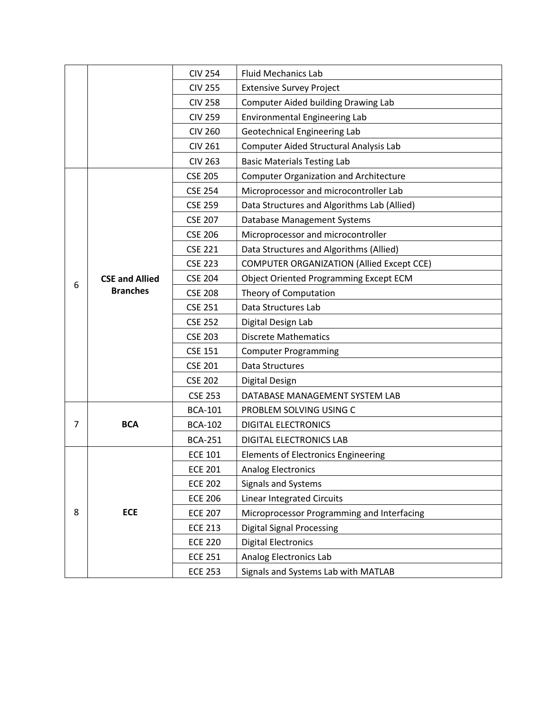|   |                                          | <b>CIV 254</b> | <b>Fluid Mechanics Lab</b>                       |
|---|------------------------------------------|----------------|--------------------------------------------------|
|   |                                          | <b>CIV 255</b> | <b>Extensive Survey Project</b>                  |
|   |                                          | <b>CIV 258</b> | <b>Computer Aided building Drawing Lab</b>       |
|   |                                          | <b>CIV 259</b> | <b>Environmental Engineering Lab</b>             |
|   |                                          | <b>CIV 260</b> | Geotechnical Engineering Lab                     |
|   |                                          | <b>CIV 261</b> | Computer Aided Structural Analysis Lab           |
|   |                                          | <b>CIV 263</b> | <b>Basic Materials Testing Lab</b>               |
|   |                                          | <b>CSE 205</b> | <b>Computer Organization and Architecture</b>    |
|   | <b>CSE and Allied</b><br><b>Branches</b> | <b>CSE 254</b> | Microprocessor and microcontroller Lab           |
|   |                                          | <b>CSE 259</b> | Data Structures and Algorithms Lab (Allied)      |
|   |                                          | <b>CSE 207</b> | <b>Database Management Systems</b>               |
|   |                                          | <b>CSE 206</b> | Microprocessor and microcontroller               |
|   |                                          | <b>CSE 221</b> | Data Structures and Algorithms (Allied)          |
|   |                                          | <b>CSE 223</b> | <b>COMPUTER ORGANIZATION (Allied Except CCE)</b> |
|   |                                          | <b>CSE 204</b> | Object Oriented Programming Except ECM           |
| 6 |                                          | <b>CSE 208</b> | Theory of Computation                            |
|   |                                          | <b>CSE 251</b> | Data Structures Lab                              |
|   |                                          | <b>CSE 252</b> | Digital Design Lab                               |
|   |                                          | <b>CSE 203</b> | <b>Discrete Mathematics</b>                      |
|   |                                          | <b>CSE 151</b> | <b>Computer Programming</b>                      |
|   |                                          | <b>CSE 201</b> | Data Structures                                  |
|   |                                          | <b>CSE 202</b> | <b>Digital Design</b>                            |
|   |                                          | <b>CSE 253</b> | DATABASE MANAGEMENT SYSTEM LAB                   |
|   | <b>BCA</b>                               | <b>BCA-101</b> | PROBLEM SOLVING USING C                          |
| 7 |                                          | <b>BCA-102</b> | <b>DIGITAL ELECTRONICS</b>                       |
|   |                                          | <b>BCA-251</b> | <b>DIGITAL ELECTRONICS LAB</b>                   |
|   | <b>ECE</b>                               | <b>ECE 101</b> | <b>Elements of Electronics Engineering</b>       |
|   |                                          | <b>ECE 201</b> | <b>Analog Electronics</b>                        |
|   |                                          | <b>ECE 202</b> | Signals and Systems                              |
| 8 |                                          | <b>ECE 206</b> | <b>Linear Integrated Circuits</b>                |
|   |                                          | <b>ECE 207</b> | Microprocessor Programming and Interfacing       |
|   |                                          | <b>ECE 213</b> | <b>Digital Signal Processing</b>                 |
|   |                                          | <b>ECE 220</b> | <b>Digital Electronics</b>                       |
|   |                                          | <b>ECE 251</b> | Analog Electronics Lab                           |
|   |                                          | <b>ECE 253</b> | Signals and Systems Lab with MATLAB              |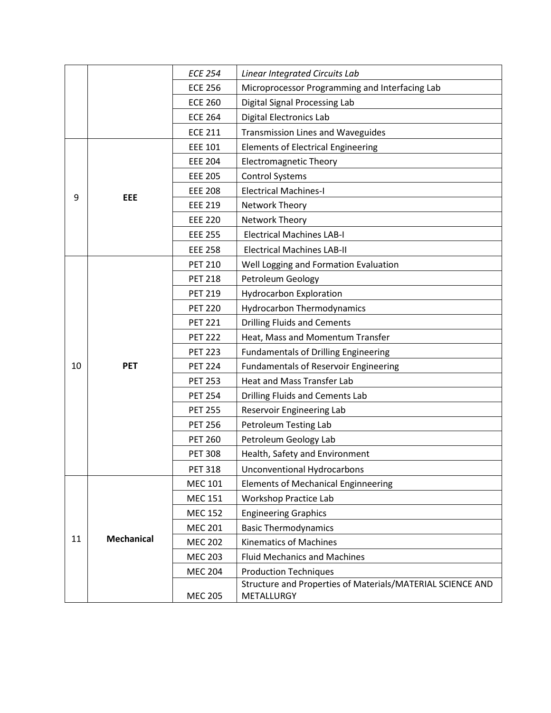|    |                   | <b>ECE 254</b> | Linear Integrated Circuits Lab                             |
|----|-------------------|----------------|------------------------------------------------------------|
|    |                   | <b>ECE 256</b> | Microprocessor Programming and Interfacing Lab             |
|    |                   | <b>ECE 260</b> | Digital Signal Processing Lab                              |
|    |                   | <b>ECE 264</b> | <b>Digital Electronics Lab</b>                             |
|    |                   | <b>ECE 211</b> | <b>Transmission Lines and Waveguides</b>                   |
| 9  | <b>EEE</b>        | <b>EEE 101</b> | <b>Elements of Electrical Engineering</b>                  |
|    |                   | <b>EEE 204</b> | <b>Electromagnetic Theory</b>                              |
|    |                   | <b>EEE 205</b> | <b>Control Systems</b>                                     |
|    |                   | <b>EEE 208</b> | <b>Electrical Machines-I</b>                               |
|    |                   | <b>EEE 219</b> | Network Theory                                             |
|    |                   | <b>EEE 220</b> | Network Theory                                             |
|    |                   | <b>EEE 255</b> | <b>Electrical Machines LAB-I</b>                           |
|    |                   | <b>EEE 258</b> | <b>Electrical Machines LAB-II</b>                          |
|    |                   | <b>PET 210</b> | Well Logging and Formation Evaluation                      |
|    |                   | <b>PET 218</b> | Petroleum Geology                                          |
|    | <b>PET</b>        | <b>PET 219</b> | <b>Hydrocarbon Exploration</b>                             |
|    |                   | <b>PET 220</b> | <b>Hydrocarbon Thermodynamics</b>                          |
|    |                   | <b>PET 221</b> | <b>Drilling Fluids and Cements</b>                         |
|    |                   | <b>PET 222</b> | Heat, Mass and Momentum Transfer                           |
|    |                   | <b>PET 223</b> | <b>Fundamentals of Drilling Engineering</b>                |
| 10 |                   | <b>PET 224</b> | <b>Fundamentals of Reservoir Engineering</b>               |
|    |                   | <b>PET 253</b> | <b>Heat and Mass Transfer Lab</b>                          |
|    |                   | <b>PET 254</b> | <b>Drilling Fluids and Cements Lab</b>                     |
|    |                   | <b>PET 255</b> | Reservoir Engineering Lab                                  |
|    |                   | <b>PET 256</b> | Petroleum Testing Lab                                      |
|    |                   | <b>PET 260</b> | Petroleum Geology Lab                                      |
|    |                   | <b>PET 308</b> | Health, Safety and Environment                             |
|    |                   | <b>PET 318</b> | <b>Unconventional Hydrocarbons</b>                         |
|    |                   | <b>MEC 101</b> | <b>Elements of Mechanical Enginneering</b>                 |
|    |                   | <b>MEC 151</b> | Workshop Practice Lab                                      |
|    | <b>Mechanical</b> | <b>MEC 152</b> | <b>Engineering Graphics</b>                                |
|    |                   | <b>MEC 201</b> | <b>Basic Thermodynamics</b>                                |
| 11 |                   | <b>MEC 202</b> | <b>Kinematics of Machines</b>                              |
|    |                   | <b>MEC 203</b> | <b>Fluid Mechanics and Machines</b>                        |
|    |                   | <b>MEC 204</b> | <b>Production Techniques</b>                               |
|    |                   |                | Structure and Properties of Materials/MATERIAL SCIENCE AND |
|    |                   | <b>MEC 205</b> | METALLURGY                                                 |